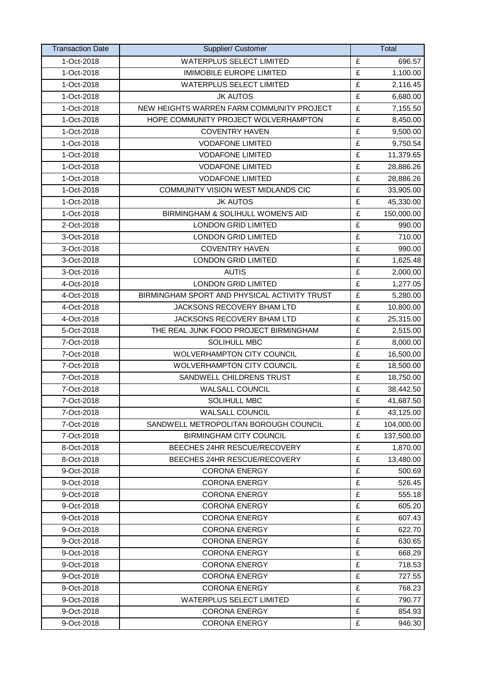| <b>Transaction Date</b> | Supplier/ Customer                           |                         | Total      |
|-------------------------|----------------------------------------------|-------------------------|------------|
| 1-Oct-2018              | <b>WATERPLUS SELECT LIMITED</b>              | £                       | 696.57     |
| 1-Oct-2018              | <b>IMIMOBILE EUROPE LIMITED</b>              | £                       | 1,100.00   |
| 1-Oct-2018              | <b>WATERPLUS SELECT LIMITED</b>              | £                       | 2,116.45   |
| 1-Oct-2018              | <b>JK AUTOS</b>                              | $\overline{\mathbf{f}}$ | 6,680.00   |
| 1-Oct-2018              | NEW HEIGHTS WARREN FARM COMMUNITY PROJECT    | £                       | 7,155.50   |
| 1-Oct-2018              | HOPE COMMUNITY PROJECT WOLVERHAMPTON         | £                       | 8,450.00   |
| 1-Oct-2018              | <b>COVENTRY HAVEN</b>                        | £                       | 9,500.00   |
| 1-Oct-2018              | <b>VODAFONE LIMITED</b>                      | £                       | 9,750.54   |
| 1-Oct-2018              | <b>VODAFONE LIMITED</b>                      | $\overline{\mathbf{f}}$ | 11,379.65  |
| 1-Oct-2018              | <b>VODAFONE LIMITED</b>                      | £                       | 28,886.26  |
| 1-Oct-2018              | <b>VODAFONE LIMITED</b>                      | £                       | 28,886.26  |
| 1-Oct-2018              | COMMUNITY VISION WEST MIDLANDS CIC           | £                       | 33,905.00  |
| 1-Oct-2018              | <b>JK AUTOS</b>                              | £                       | 45,330.00  |
| 1-Oct-2018              | BIRMINGHAM & SOLIHULL WOMEN'S AID            | $\overline{\mathbf{f}}$ | 150,000.00 |
| 2-Oct-2018              | <b>LONDON GRID LIMITED</b>                   | £                       | 990.00     |
| 3-Oct-2018              | <b>LONDON GRID LIMITED</b>                   | £                       | 710.00     |
| 3-Oct-2018              | <b>COVENTRY HAVEN</b>                        | £                       | 990.00     |
| 3-Oct-2018              | <b>LONDON GRID LIMITED</b>                   | £                       | 1,625.48   |
| 3-Oct-2018              | <b>AUTIS</b>                                 | £                       | 2,000.00   |
| 4-Oct-2018              | <b>LONDON GRID LIMITED</b>                   | £                       | 1,277.05   |
| 4-Oct-2018              | BIRMINGHAM SPORT AND PHYSICAL ACTIVITY TRUST | £                       | 5,280.00   |
| 4-Oct-2018              | JACKSONS RECOVERY BHAM LTD                   | £                       | 10,800.00  |
| 4-Oct-2018              | JACKSONS RECOVERY BHAM LTD                   | £                       | 25,315.00  |
| 5-Oct-2018              | THE REAL JUNK FOOD PROJECT BIRMINGHAM        | £                       | 2,515.00   |
| 7-Oct-2018              | <b>SOLIHULL MBC</b>                          | £                       | 8,000.00   |
| 7-Oct-2018              | <b>WOLVERHAMPTON CITY COUNCIL</b>            | £                       | 16,500.00  |
| 7-Oct-2018              | <b>WOLVERHAMPTON CITY COUNCIL</b>            | £                       | 18,500.00  |
| 7-Oct-2018              | SANDWELL CHILDRENS TRUST                     | £                       | 18,750.00  |
| 7-Oct-2018              | <b>WALSALL COUNCIL</b>                       | £                       | 38,442.50  |
| 7-Oct-2018              | SOLIHULL MBC                                 | £                       | 41,687.50  |
| 7-Oct-2018              | WALSALL COUNCIL                              | £                       | 43,125.00  |
| 7-Oct-2018              | SANDWELL METROPOLITAN BOROUGH COUNCIL        | £                       | 104,000.00 |
| 7-Oct-2018              | <b>BIRMINGHAM CITY COUNCIL</b>               | £                       | 137,500.00 |
| 8-Oct-2018              | BEECHES 24HR RESCUE/RECOVERY                 | £                       | 1,870.00   |
| 8-Oct-2018              | BEECHES 24HR RESCUE/RECOVERY                 | £                       | 13,480.00  |
| 9-Oct-2018              | <b>CORONA ENERGY</b>                         | £                       | 500.69     |
| 9-Oct-2018              | <b>CORONA ENERGY</b>                         | £                       | 526.45     |
| 9-Oct-2018              | <b>CORONA ENERGY</b>                         | £<br>£                  | 555.18     |
| 9-Oct-2018              | <b>CORONA ENERGY</b>                         |                         | 605.20     |
| 9-Oct-2018              | <b>CORONA ENERGY</b>                         | £                       | 607.43     |
| 9-Oct-2018              | <b>CORONA ENERGY</b>                         | £                       | 622.70     |
| 9-Oct-2018              | <b>CORONA ENERGY</b><br><b>CORONA ENERGY</b> | £                       | 630.65     |
| 9-Oct-2018              |                                              | £<br>£                  | 668.29     |
| 9-Oct-2018              | <b>CORONA ENERGY</b>                         |                         | 718.53     |
| 9-Oct-2018              | <b>CORONA ENERGY</b><br><b>CORONA ENERGY</b> | £<br>£                  | 727.55     |
| 9-Oct-2018              |                                              | £                       | 768.23     |
| 9-Oct-2018              | <b>WATERPLUS SELECT LIMITED</b>              |                         | 790.77     |
| 9-Oct-2018              | <b>CORONA ENERGY</b>                         | £                       | 854.93     |
| 9-Oct-2018              | <b>CORONA ENERGY</b>                         | £                       | 946.30     |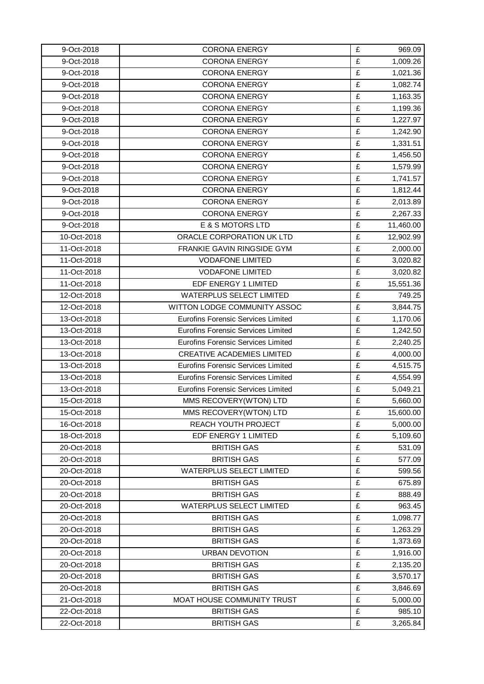| 9-Oct-2018  | <b>CORONA ENERGY</b>                      | £ | 969.09    |
|-------------|-------------------------------------------|---|-----------|
| 9-Oct-2018  | <b>CORONA ENERGY</b>                      | £ | 1,009.26  |
| 9-Oct-2018  | <b>CORONA ENERGY</b>                      | £ | 1,021.36  |
| 9-Oct-2018  | <b>CORONA ENERGY</b>                      | £ | 1,082.74  |
| 9-Oct-2018  | <b>CORONA ENERGY</b>                      | £ | 1,163.35  |
| 9-Oct-2018  | <b>CORONA ENERGY</b>                      | £ | 1,199.36  |
| 9-Oct-2018  | <b>CORONA ENERGY</b>                      | £ | 1,227.97  |
| 9-Oct-2018  | <b>CORONA ENERGY</b>                      | £ | 1,242.90  |
| 9-Oct-2018  | <b>CORONA ENERGY</b>                      | £ | 1,331.51  |
| 9-Oct-2018  | <b>CORONA ENERGY</b>                      | £ | 1,456.50  |
| 9-Oct-2018  | <b>CORONA ENERGY</b>                      | £ | 1,579.99  |
| 9-Oct-2018  | <b>CORONA ENERGY</b>                      | £ | 1,741.57  |
| 9-Oct-2018  | <b>CORONA ENERGY</b>                      | £ | 1,812.44  |
| 9-Oct-2018  | <b>CORONA ENERGY</b>                      | £ | 2,013.89  |
| 9-Oct-2018  | <b>CORONA ENERGY</b>                      | £ | 2,267.33  |
| 9-Oct-2018  | E & S MOTORS LTD                          | £ | 11,460.00 |
| 10-Oct-2018 | ORACLE CORPORATION UK LTD                 | £ | 12,902.99 |
| 11-Oct-2018 | FRANKIE GAVIN RINGSIDE GYM                | £ | 2,000.00  |
| 11-Oct-2018 | <b>VODAFONE LIMITED</b>                   | £ | 3,020.82  |
| 11-Oct-2018 | <b>VODAFONE LIMITED</b>                   | £ | 3,020.82  |
| 11-Oct-2018 | EDF ENERGY 1 LIMITED                      | £ | 15,551.36 |
| 12-Oct-2018 | <b>WATERPLUS SELECT LIMITED</b>           | £ | 749.25    |
| 12-Oct-2018 | WITTON LODGE COMMUNITY ASSOC              | £ | 3,844.75  |
| 13-Oct-2018 | <b>Eurofins Forensic Services Limited</b> | £ | 1,170.06  |
| 13-Oct-2018 | <b>Eurofins Forensic Services Limited</b> | £ | 1,242.50  |
| 13-Oct-2018 | <b>Eurofins Forensic Services Limited</b> | £ | 2,240.25  |
| 13-Oct-2018 | <b>CREATIVE ACADEMIES LIMITED</b>         | £ | 4,000.00  |
| 13-Oct-2018 | <b>Eurofins Forensic Services Limited</b> | £ | 4,515.75  |
| 13-Oct-2018 | <b>Eurofins Forensic Services Limited</b> | £ | 4,554.99  |
| 13-Oct-2018 | <b>Eurofins Forensic Services Limited</b> | £ | 5,049.21  |
| 15-Oct-2018 | MMS RECOVERY(WTON) LTD                    | £ | 5,660.00  |
| 15-Oct-2018 | MMS RECOVERY(WTON) LTD                    | £ | 15,600.00 |
| 16-Oct-2018 | REACH YOUTH PROJECT                       | £ | 5,000.00  |
| 18-Oct-2018 | EDF ENERGY 1 LIMITED                      | £ | 5,109.60  |
| 20-Oct-2018 | <b>BRITISH GAS</b>                        | £ | 531.09    |
| 20-Oct-2018 | <b>BRITISH GAS</b>                        | £ | 577.09    |
| 20-Oct-2018 | <b>WATERPLUS SELECT LIMITED</b>           | £ | 599.56    |
| 20-Oct-2018 | <b>BRITISH GAS</b>                        | £ | 675.89    |
| 20-Oct-2018 | <b>BRITISH GAS</b>                        | £ | 888.49    |
| 20-Oct-2018 | <b>WATERPLUS SELECT LIMITED</b>           | £ | 963.45    |
| 20-Oct-2018 | <b>BRITISH GAS</b>                        | £ | 1,098.77  |
| 20-Oct-2018 | <b>BRITISH GAS</b>                        | £ | 1,263.29  |
| 20-Oct-2018 | <b>BRITISH GAS</b>                        | £ | 1,373.69  |
| 20-Oct-2018 | <b>URBAN DEVOTION</b>                     | £ | 1,916.00  |
| 20-Oct-2018 | <b>BRITISH GAS</b>                        | £ | 2,135.20  |
| 20-Oct-2018 | <b>BRITISH GAS</b>                        | £ | 3,570.17  |
| 20-Oct-2018 | <b>BRITISH GAS</b>                        | £ | 3,846.69  |
| 21-Oct-2018 | MOAT HOUSE COMMUNITY TRUST                | £ | 5,000.00  |
| 22-Oct-2018 | <b>BRITISH GAS</b>                        | £ | 985.10    |
| 22-Oct-2018 | <b>BRITISH GAS</b>                        | £ | 3,265.84  |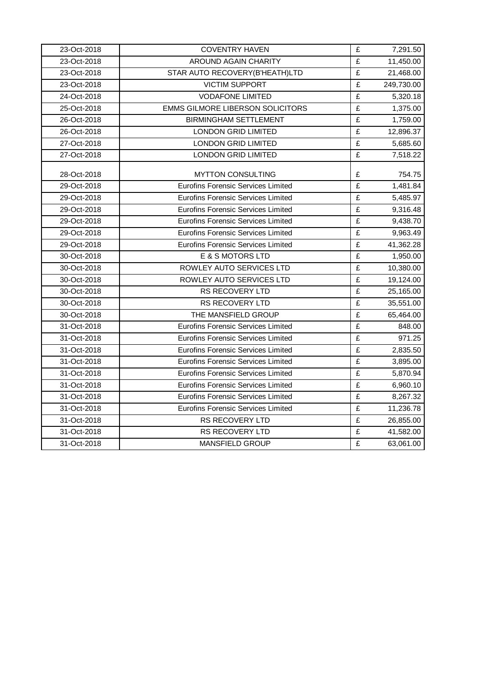| 23-Oct-2018 | <b>COVENTRY HAVEN</b>                     | £                       | 7,291.50   |
|-------------|-------------------------------------------|-------------------------|------------|
| 23-Oct-2018 | <b>AROUND AGAIN CHARITY</b>               | £                       | 11,450.00  |
| 23-Oct-2018 | STAR AUTO RECOVERY(B'HEATH)LTD            | $\overline{\mathbf{f}}$ | 21,468.00  |
| 23-Oct-2018 | <b>VICTIM SUPPORT</b>                     | £                       | 249,730.00 |
| 24-Oct-2018 | <b>VODAFONE LIMITED</b>                   | £                       | 5,320.18   |
| 25-Oct-2018 | EMMS GILMORE LIBERSON SOLICITORS          | £                       | 1,375.00   |
| 26-Oct-2018 | <b>BIRMINGHAM SETTLEMENT</b>              | £                       | 1,759.00   |
| 26-Oct-2018 | <b>LONDON GRID LIMITED</b>                | £                       | 12,896.37  |
| 27-Oct-2018 | LONDON GRID LIMITED                       | £                       | 5,685.60   |
| 27-Oct-2018 | <b>LONDON GRID LIMITED</b>                | £                       | 7,518.22   |
| 28-Oct-2018 | <b>MYTTON CONSULTING</b>                  | £                       | 754.75     |
| 29-Oct-2018 | <b>Eurofins Forensic Services Limited</b> | £                       | 1,481.84   |
| 29-Oct-2018 | <b>Eurofins Forensic Services Limited</b> | £                       | 5,485.97   |
| 29-Oct-2018 | <b>Eurofins Forensic Services Limited</b> | £                       | 9,316.48   |
| 29-Oct-2018 | <b>Eurofins Forensic Services Limited</b> | £                       | 9,438.70   |
| 29-Oct-2018 | <b>Eurofins Forensic Services Limited</b> | £                       | 9,963.49   |
| 29-Oct-2018 | <b>Eurofins Forensic Services Limited</b> | £                       | 41,362.28  |
| 30-Oct-2018 | E & S MOTORS LTD                          | £                       | 1,950.00   |
| 30-Oct-2018 | ROWLEY AUTO SERVICES LTD                  | £                       | 10,380.00  |
| 30-Oct-2018 | ROWLEY AUTO SERVICES LTD                  | £                       | 19,124.00  |
| 30-Oct-2018 | RS RECOVERY LTD                           | £                       | 25,165.00  |
| 30-Oct-2018 | RS RECOVERY LTD                           | £                       | 35,551.00  |
| 30-Oct-2018 | THE MANSFIELD GROUP                       | £                       | 65,464.00  |
| 31-Oct-2018 | <b>Eurofins Forensic Services Limited</b> | £                       | 848.00     |
| 31-Oct-2018 | <b>Eurofins Forensic Services Limited</b> | £                       | 971.25     |
| 31-Oct-2018 | <b>Eurofins Forensic Services Limited</b> | £                       | 2,835.50   |
| 31-Oct-2018 | <b>Eurofins Forensic Services Limited</b> | £                       | 3,895.00   |
| 31-Oct-2018 | <b>Eurofins Forensic Services Limited</b> | $\overline{\mathbf{f}}$ | 5,870.94   |
| 31-Oct-2018 | <b>Eurofins Forensic Services Limited</b> | $\overline{\mathbf{f}}$ | 6,960.10   |
| 31-Oct-2018 | <b>Eurofins Forensic Services Limited</b> | £                       | 8,267.32   |
| 31-Oct-2018 | Eurofins Forensic Services Limited        | £                       | 11,236.78  |
| 31-Oct-2018 | RS RECOVERY LTD                           | £                       | 26,855.00  |
| 31-Oct-2018 | <b>RS RECOVERY LTD</b>                    | £                       | 41,582.00  |
| 31-Oct-2018 | MANSFIELD GROUP                           | £                       | 63,061.00  |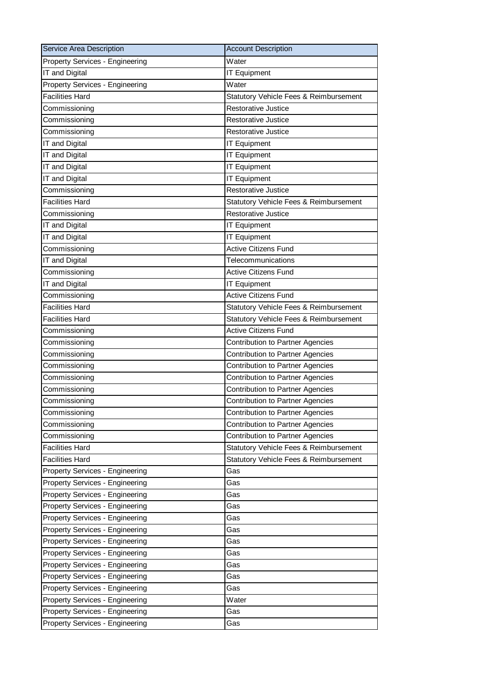| Service Area Description               | <b>Account Description</b>              |
|----------------------------------------|-----------------------------------------|
| <b>Property Services - Engineering</b> | Water                                   |
| IT and Digital                         | <b>IT Equipment</b>                     |
| Property Services - Engineering        | Water                                   |
| <b>Facilities Hard</b>                 | Statutory Vehicle Fees & Reimbursement  |
| Commissioning                          | <b>Restorative Justice</b>              |
| Commissioning                          | <b>Restorative Justice</b>              |
| Commissioning                          | <b>Restorative Justice</b>              |
| IT and Digital                         | <b>IT Equipment</b>                     |
| IT and Digital                         | <b>IT Equipment</b>                     |
| IT and Digital                         | <b>IT Equipment</b>                     |
| IT and Digital                         | <b>IT Equipment</b>                     |
| Commissioning                          | <b>Restorative Justice</b>              |
| <b>Facilities Hard</b>                 | Statutory Vehicle Fees & Reimbursement  |
| Commissioning                          | <b>Restorative Justice</b>              |
| IT and Digital                         | <b>IT Equipment</b>                     |
| IT and Digital                         | <b>IT Equipment</b>                     |
| Commissioning                          | <b>Active Citizens Fund</b>             |
| IT and Digital                         | Telecommunications                      |
| Commissioning                          | <b>Active Citizens Fund</b>             |
| IT and Digital                         | <b>IT Equipment</b>                     |
| Commissioning                          | <b>Active Citizens Fund</b>             |
| <b>Facilities Hard</b>                 | Statutory Vehicle Fees & Reimbursement  |
| <b>Facilities Hard</b>                 | Statutory Vehicle Fees & Reimbursement  |
| Commissioning                          | <b>Active Citizens Fund</b>             |
| Commissioning                          | Contribution to Partner Agencies        |
| Commissioning                          | Contribution to Partner Agencies        |
| Commissioning                          | Contribution to Partner Agencies        |
| Commissioning                          | Contribution to Partner Agencies        |
| Commissioning                          | <b>Contribution to Partner Agencies</b> |
| Commissioning                          | Contribution to Partner Agencies        |
| Commissioning                          | Contribution to Partner Agencies        |
| Commissioning                          | Contribution to Partner Agencies        |
| Commissioning                          | Contribution to Partner Agencies        |
| <b>Facilities Hard</b>                 | Statutory Vehicle Fees & Reimbursement  |
| <b>Facilities Hard</b>                 | Statutory Vehicle Fees & Reimbursement  |
| Property Services - Engineering        | Gas                                     |
| Property Services - Engineering        | Gas                                     |
| <b>Property Services - Engineering</b> | Gas                                     |
| Property Services - Engineering        | Gas                                     |
| Property Services - Engineering        | Gas                                     |
| Property Services - Engineering        | Gas                                     |
| Property Services - Engineering        | Gas                                     |
| <b>Property Services - Engineering</b> | Gas                                     |
| Property Services - Engineering        | Gas                                     |
| Property Services - Engineering        | Gas                                     |
| Property Services - Engineering        | Gas                                     |
| Property Services - Engineering        | Water                                   |
| <b>Property Services - Engineering</b> | Gas                                     |
| Property Services - Engineering        | Gas                                     |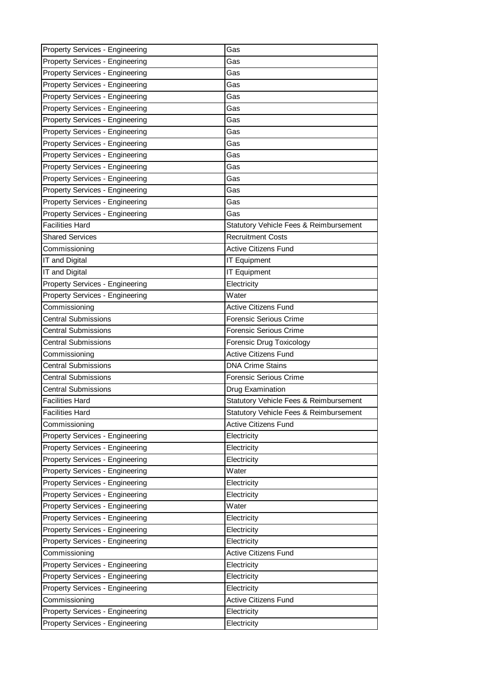| Property Services - Engineering                                    | Gas                                    |
|--------------------------------------------------------------------|----------------------------------------|
| <b>Property Services - Engineering</b>                             | Gas                                    |
| <b>Property Services - Engineering</b>                             | Gas                                    |
| Property Services - Engineering                                    | Gas                                    |
| Property Services - Engineering                                    | Gas                                    |
| Property Services - Engineering                                    | Gas                                    |
| Property Services - Engineering                                    | Gas                                    |
| Property Services - Engineering                                    | Gas                                    |
| Property Services - Engineering                                    | Gas                                    |
| Property Services - Engineering                                    | Gas                                    |
| Property Services - Engineering                                    | Gas                                    |
| Property Services - Engineering                                    | Gas                                    |
| Property Services - Engineering                                    | Gas                                    |
| Property Services - Engineering                                    | Gas                                    |
| Property Services - Engineering                                    | Gas                                    |
| <b>Facilities Hard</b>                                             | Statutory Vehicle Fees & Reimbursement |
| <b>Shared Services</b>                                             | <b>Recruitment Costs</b>               |
| Commissioning                                                      | <b>Active Citizens Fund</b>            |
| IT and Digital                                                     | <b>IT Equipment</b>                    |
| IT and Digital                                                     | <b>IT Equipment</b>                    |
| Property Services - Engineering                                    | Electricity                            |
| Property Services - Engineering                                    | Water                                  |
| Commissioning                                                      | <b>Active Citizens Fund</b>            |
| <b>Central Submissions</b>                                         | Forensic Serious Crime                 |
| <b>Central Submissions</b>                                         | <b>Forensic Serious Crime</b>          |
| Central Submissions                                                | Forensic Drug Toxicology               |
| Commissioning                                                      | <b>Active Citizens Fund</b>            |
| <b>Central Submissions</b>                                         | <b>DNA Crime Stains</b>                |
| <b>Central Submissions</b>                                         | <b>Forensic Serious Crime</b>          |
| Central Submissions                                                | Drug Examination                       |
| <b>Facilities Hard</b>                                             |                                        |
|                                                                    | Statutory Vehicle Fees & Reimbursement |
| <b>Facilities Hard</b>                                             | Statutory Vehicle Fees & Reimbursement |
| Commissioning                                                      | <b>Active Citizens Fund</b>            |
| Property Services - Engineering                                    | Electricity                            |
| Property Services - Engineering                                    | Electricity                            |
| Property Services - Engineering                                    | Electricity                            |
| Property Services - Engineering                                    | Water                                  |
| Property Services - Engineering                                    | Electricity                            |
| Property Services - Engineering                                    | Electricity                            |
| Property Services - Engineering                                    | Water                                  |
| Property Services - Engineering                                    | Electricity                            |
| Property Services - Engineering                                    | Electricity                            |
| Property Services - Engineering                                    | Electricity                            |
| Commissioning                                                      | <b>Active Citizens Fund</b>            |
| Property Services - Engineering                                    | Electricity                            |
| Property Services - Engineering                                    | Electricity                            |
| Property Services - Engineering                                    | Electricity                            |
| Commissioning                                                      | <b>Active Citizens Fund</b>            |
| Property Services - Engineering<br>Property Services - Engineering | Electricity<br>Electricity             |